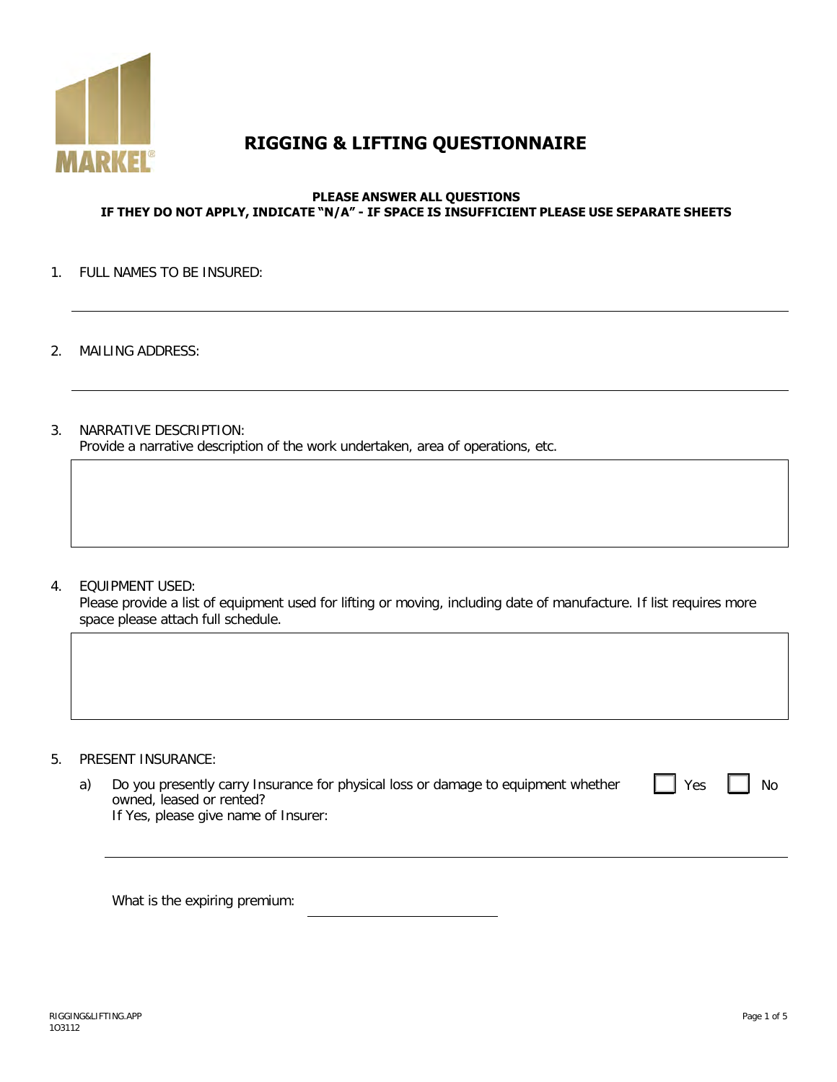

# **RIGGING & LIFTING QUESTIONNAIRE**

#### **PLEASE ANSWER ALL QUESTIONS IF THEY DO NOT APPLY, INDICATE "N/A" - IF SPACE IS INSUFFICIENT PLEASE USE SEPARATE SHEETS**

#### 1. FULL NAMES TO BE INSURED:

- 2. MAILING ADDRESS:
- 3. NARRATIVE DESCRIPTION: Provide a narrative description of the work undertaken, area of operations, etc.

4. EQUIPMENT USED:

Please provide a list of equipment used for lifting or moving, including date of manufacture. If list requires more space please attach full schedule.

- 5. PRESENT INSURANCE:
	- a) Do you presently carry Insurance for physical loss or damage to equipment whether owned, leased or rented? If Yes, please give name of Insurer:

What is the expiring premium: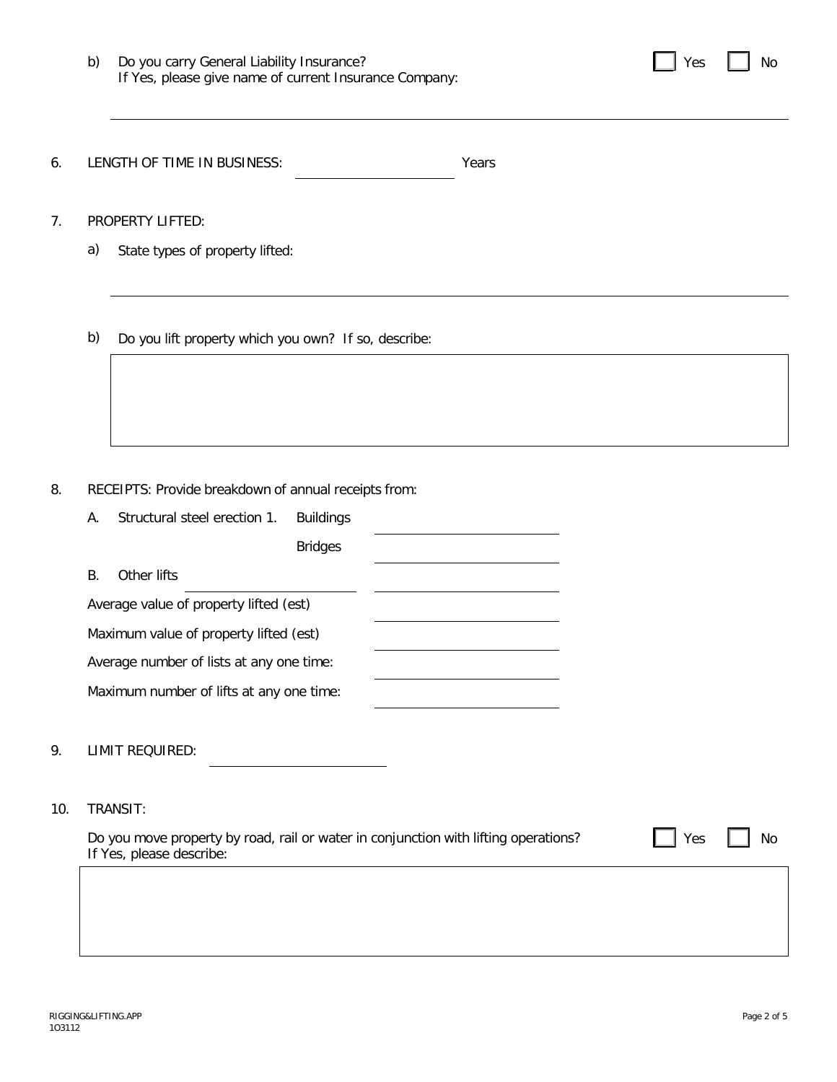| b) | Do you carry General Liability Insurance?              |
|----|--------------------------------------------------------|
|    | If Yes, please give name of current Insurance Company: |

| ∨∩c |  | No |
|-----|--|----|
|-----|--|----|

6. LENGTH OF TIME IN BUSINESS: Years

7. PROPERTY LIFTED:

a) State types of property lifted:

b) Do you lift property which you own? If so, describe:

8. RECEIPTS: Provide breakdown of annual receipts from:

| А. | Structural steel erection 1.             | <b>Buildings</b> |  |
|----|------------------------------------------|------------------|--|
|    |                                          | <b>Bridges</b>   |  |
| В. | Other lifts                              |                  |  |
|    | Average value of property lifted (est)   |                  |  |
|    | Maximum value of property lifted (est)   |                  |  |
|    | Average number of lists at any one time: |                  |  |
|    | Maximum number of lifts at any one time: |                  |  |
|    |                                          |                  |  |

## 9. LIMIT REQUIRED:

#### 10. TRANSIT:

Do you move property by road, rail or water in conjunction with lifting operations? If Yes, please describe:

Yes  $\Box$  No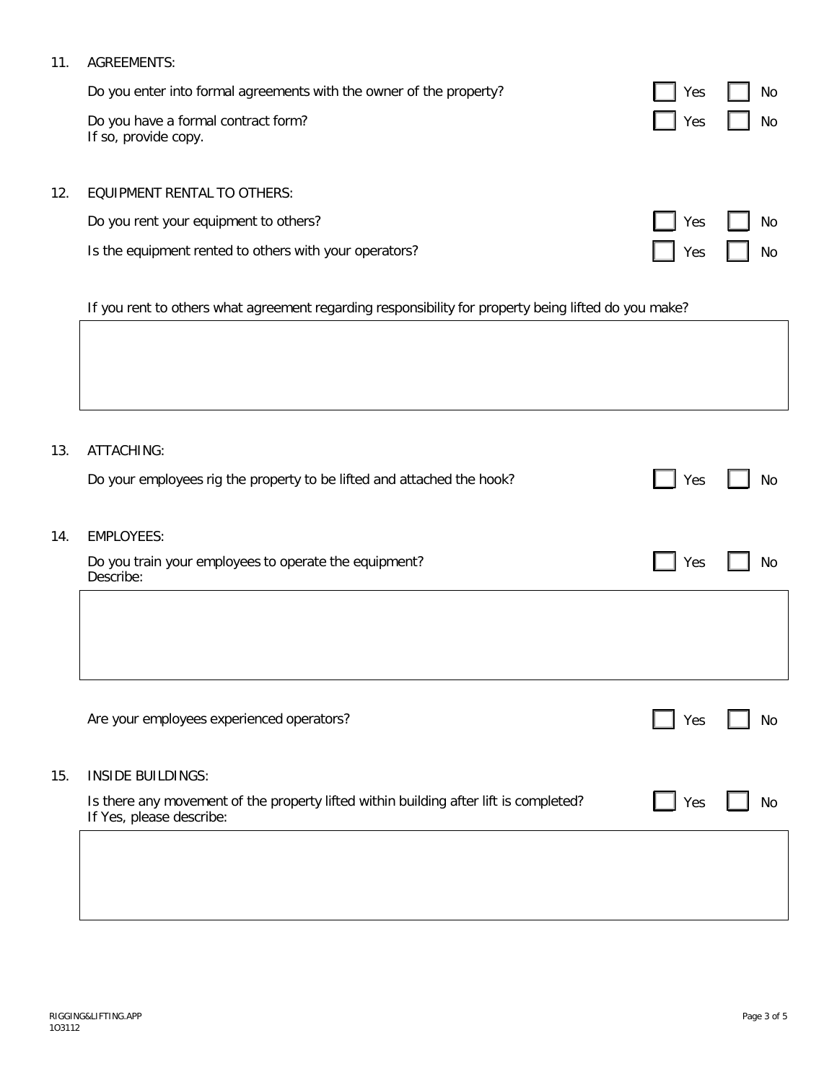# 11. AGREEMENTS:

|     | Do you enter into formal agreements with the owner of the property? | Yes | No        |
|-----|---------------------------------------------------------------------|-----|-----------|
|     | Do you have a formal contract form?<br>If so, provide copy.         | Yes | No        |
| 12. | <b>EQUIPMENT RENTAL TO OTHERS:</b>                                  |     |           |
|     | Do you rent your equipment to others?                               | Yes | <b>No</b> |
|     | Is the equipment rented to others with your operators?              | Yes | No        |

If you rent to others what agreement regarding responsibility for property being lifted do you make?

| 13. | ATTACHING:<br>Do your employees rig the property to be lifted and attached the hook?                              | Yes | No |
|-----|-------------------------------------------------------------------------------------------------------------------|-----|----|
| 14. | <b>EMPLOYEES:</b>                                                                                                 |     |    |
|     | Do you train your employees to operate the equipment?<br>Describe:                                                | Yes | No |
|     |                                                                                                                   |     |    |
|     |                                                                                                                   |     |    |
|     | Are your employees experienced operators?                                                                         | Yes | No |
| 15. | <b>INSIDE BUILDINGS:</b>                                                                                          |     |    |
|     | Is there any movement of the property lifted within building after lift is completed?<br>If Yes, please describe: | Yes | No |
|     |                                                                                                                   |     |    |
|     |                                                                                                                   |     |    |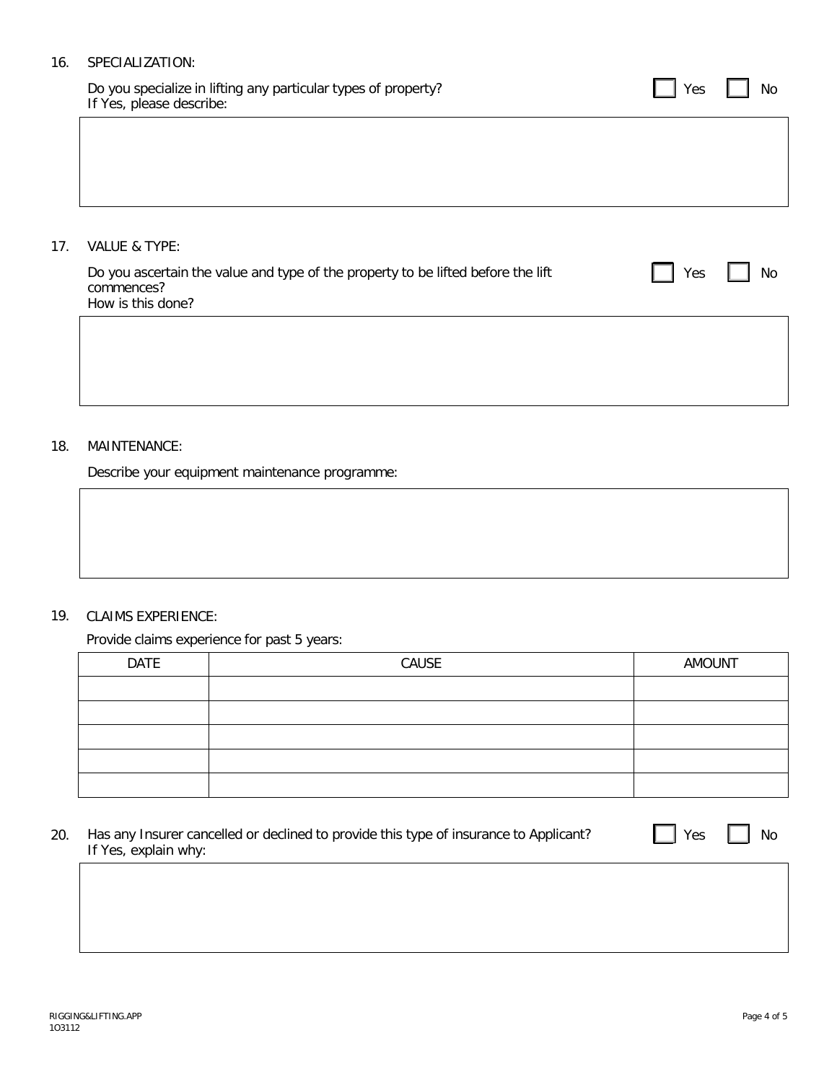## 16. SPECIALIZATION:

Do you specialize in lifting any particular types of property? If Yes, please describe:

17. VALUE & TYPE:

| Do you ascertain the value and type of the property to be lifted before the lift | $\Box$ Yes |  |
|----------------------------------------------------------------------------------|------------|--|
| commences?                                                                       |            |  |
| How is this done?                                                                |            |  |

# 18. MAINTENANCE:

Describe your equipment maintenance programme:

# 19. CLAIMS EXPERIENCE:

#### Provide claims experience for past 5 years:

| <b>DATE</b> | CAUSE | AMOUNT |
|-------------|-------|--------|
|             |       |        |
|             |       |        |
|             |       |        |
|             |       |        |
|             |       |        |

| 20. | Has any Insurer cancelled or declined to provide this type of insurance to Applicant? |
|-----|---------------------------------------------------------------------------------------|
|     | If Yes, explain why:                                                                  |

 $\Box$  Yes  $\Box$  No

 $\Box$  Yes  $\Box$  No

No